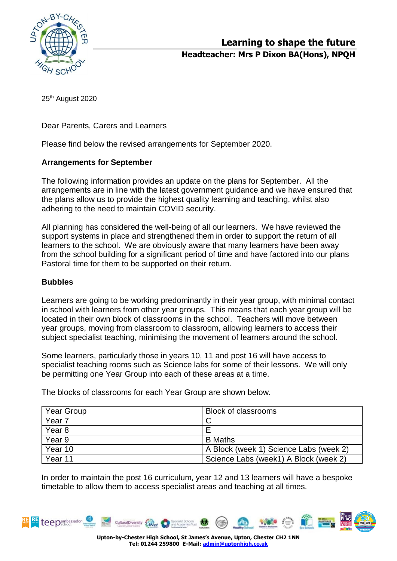

**Headteacher: Mrs P Dixon BA(Hons), NPQH**

25<sup>th</sup> August 2020

Dear Parents, Carers and Learners

Please find below the revised arrangements for September 2020.

## **Arrangements for September**

The following information provides an update on the plans for September. All the arrangements are in line with the latest government guidance and we have ensured that the plans allow us to provide the highest quality learning and teaching, whilst also adhering to the need to maintain COVID security.

All planning has considered the well-being of all our learners. We have reviewed the support systems in place and strengthened them in order to support the return of all learners to the school. We are obviously aware that many learners have been away from the school building for a significant period of time and have factored into our plans Pastoral time for them to be supported on their return.

### **Bubbles**

Learners are going to be working predominantly in their year group, with minimal contact in school with learners from other year groups. This means that each year group will be located in their own block of classrooms in the school. Teachers will move between year groups, moving from classroom to classroom, allowing learners to access their subject specialist teaching, minimising the movement of learners around the school.

Some learners, particularly those in years 10, 11 and post 16 will have access to specialist teaching rooms such as Science labs for some of their lessons. We will only be permitting one Year Group into each of these areas at a time.

Year Group Block of classrooms Year 7 C Year 8 **Exercise 2** Year 9 B Maths Year 10 A Block (week 1) Science Labs (week 2) Year 11 Science Labs (week1) A Block (week 2)

The blocks of classrooms for each Year Group are shown below.

In order to maintain the post 16 curriculum, year 12 and 13 learners will have a bespoke timetable to allow them to access specialist areas and teaching at all times.



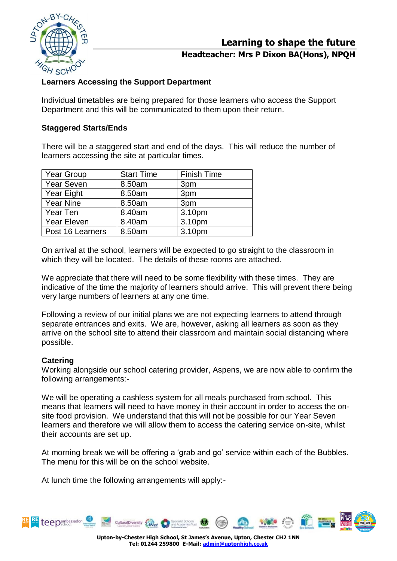

**Learning to shape the future**

## **Headteacher: Mrs P Dixon BA(Hons), NPQH**

# **Learners Accessing the Support Department**

Individual timetables are being prepared for those learners who access the Support Department and this will be communicated to them upon their return.

## **Staggered Starts/Ends**

There will be a staggered start and end of the days. This will reduce the number of learners accessing the site at particular times.

| <b>Year Group</b>  | <b>Start Time</b> | <b>Finish Time</b> |
|--------------------|-------------------|--------------------|
| <b>Year Seven</b>  | 8.50am            | 3pm                |
| Year Eight         | 8.50am            | 3pm                |
| <b>Year Nine</b>   | 8.50am            | 3pm                |
| Year Ten           | 8.40am            | 3.10pm             |
| <b>Year Eleven</b> | 8.40am            | 3.10pm             |
| Post 16 Learners   | 8.50am            | 3.10pm             |

On arrival at the school, learners will be expected to go straight to the classroom in which they will be located. The details of these rooms are attached.

We appreciate that there will need to be some flexibility with these times. They are indicative of the time the majority of learners should arrive. This will prevent there being very large numbers of learners at any one time.

Following a review of our initial plans we are not expecting learners to attend through separate entrances and exits. We are, however, asking all learners as soon as they arrive on the school site to attend their classroom and maintain social distancing where possible.

### **Catering**

Working alongside our school catering provider, Aspens, we are now able to confirm the following arrangements:-

We will be operating a cashless system for all meals purchased from school. This means that learners will need to have money in their account in order to access the onsite food provision. We understand that this will not be possible for our Year Seven learners and therefore we will allow them to access the catering service on-site, whilst their accounts are set up.

At morning break we will be offering a 'grab and go' service within each of the Bubbles. The menu for this will be on the school website.

At lunch time the following arrangements will apply:-



**Upton-by-Chester High School, St James's Avenue, Upton, Chester CH2 1NN Tel: 01244 259800 E-Mail[: admin@uptonhigh.co.uk](mailto:admin@uptonhigh.co.uk)**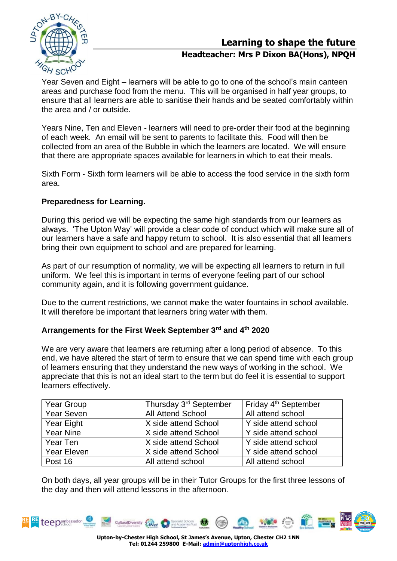

**Learning to shape the future**

# **Headteacher: Mrs P Dixon BA(Hons), NPQH**

Year Seven and Eight – learners will be able to go to one of the school's main canteen areas and purchase food from the menu. This will be organised in half year groups, to ensure that all learners are able to sanitise their hands and be seated comfortably within the area and / or outside.

Years Nine, Ten and Eleven - learners will need to pre-order their food at the beginning of each week. An email will be sent to parents to facilitate this. Food will then be collected from an area of the Bubble in which the learners are located. We will ensure that there are appropriate spaces available for learners in which to eat their meals.

Sixth Form - Sixth form learners will be able to access the food service in the sixth form area.

# **Preparedness for Learning.**

During this period we will be expecting the same high standards from our learners as always. 'The Upton Way' will provide a clear code of conduct which will make sure all of our learners have a safe and happy return to school. It is also essential that all learners bring their own equipment to school and are prepared for learning.

As part of our resumption of normality, we will be expecting all learners to return in full uniform. We feel this is important in terms of everyone feeling part of our school community again, and it is following government guidance.

Due to the current restrictions, we cannot make the water fountains in school available. It will therefore be important that learners bring water with them.

### **Arrangements for the First Week September 3rd and 4th 2020**

We are very aware that learners are returning after a long period of absence. To this end, we have altered the start of term to ensure that we can spend time with each group of learners ensuring that they understand the new ways of working in the school. We appreciate that this is not an ideal start to the term but do feel it is essential to support learners effectively.

| Year Group         | Thursday 3 <sup>rd</sup> September | Friday 4 <sup>th</sup> September |
|--------------------|------------------------------------|----------------------------------|
| Year Seven         | <b>All Attend School</b>           | All attend school                |
| <b>Year Eight</b>  | X side attend School               | Y side attend school             |
| <b>Year Nine</b>   | X side attend School               | Y side attend school             |
| Year Ten           | X side attend School               | Y side attend school             |
| <b>Year Eleven</b> | X side attend School               | Y side attend school             |
| Post 16            | All attend school                  | All attend school                |

On both days, all year groups will be in their Tutor Groups for the first three lessons of the day and then will attend lessons in the afternoon.